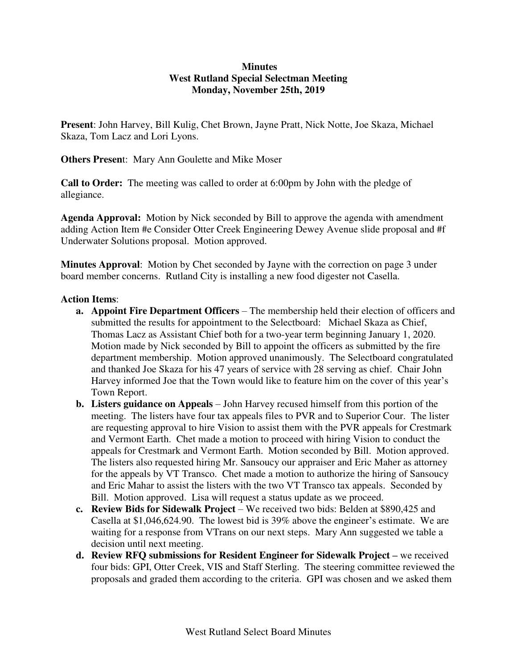## **Minutes West Rutland Special Selectman Meeting Monday, November 25th, 2019**

**Present**: John Harvey, Bill Kulig, Chet Brown, Jayne Pratt, Nick Notte, Joe Skaza, Michael Skaza, Tom Lacz and Lori Lyons.

**Others Presen**t: Mary Ann Goulette and Mike Moser

**Call to Order:** The meeting was called to order at 6:00pm by John with the pledge of allegiance.

**Agenda Approval:** Motion by Nick seconded by Bill to approve the agenda with amendment adding Action Item #e Consider Otter Creek Engineering Dewey Avenue slide proposal and #f Underwater Solutions proposal. Motion approved.

**Minutes Approval**: Motion by Chet seconded by Jayne with the correction on page 3 under board member concerns. Rutland City is installing a new food digester not Casella.

## **Action Items**:

- **a. Appoint Fire Department Officers**  The membership held their election of officers and submitted the results for appointment to the Selectboard: Michael Skaza as Chief, Thomas Lacz as Assistant Chief both for a two-year term beginning January 1, 2020. Motion made by Nick seconded by Bill to appoint the officers as submitted by the fire department membership. Motion approved unanimously. The Selectboard congratulated and thanked Joe Skaza for his 47 years of service with 28 serving as chief. Chair John Harvey informed Joe that the Town would like to feature him on the cover of this year's Town Report.
- **b. Listers guidance on Appeals**  John Harvey recused himself from this portion of the meeting. The listers have four tax appeals files to PVR and to Superior Cour. The lister are requesting approval to hire Vision to assist them with the PVR appeals for Crestmark and Vermont Earth. Chet made a motion to proceed with hiring Vision to conduct the appeals for Crestmark and Vermont Earth. Motion seconded by Bill. Motion approved. The listers also requested hiring Mr. Sansoucy our appraiser and Eric Maher as attorney for the appeals by VT Transco. Chet made a motion to authorize the hiring of Sansoucy and Eric Mahar to assist the listers with the two VT Transco tax appeals. Seconded by Bill. Motion approved. Lisa will request a status update as we proceed.
- **c. Review Bids for Sidewalk Project**  We received two bids: Belden at \$890,425 and Casella at \$1,046,624.90. The lowest bid is 39% above the engineer's estimate. We are waiting for a response from VTrans on our next steps. Mary Ann suggested we table a decision until next meeting.
- **d.** Review RFQ submissions for Resident Engineer for Sidewalk Project we received four bids: GPI, Otter Creek, VIS and Staff Sterling. The steering committee reviewed the proposals and graded them according to the criteria. GPI was chosen and we asked them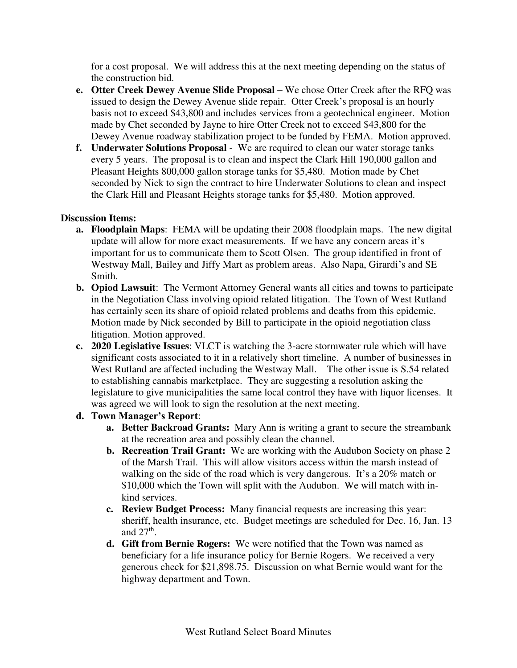for a cost proposal. We will address this at the next meeting depending on the status of the construction bid.

- **e.** Otter Creek Dewey Avenue Slide Proposal We chose Otter Creek after the RFQ was issued to design the Dewey Avenue slide repair. Otter Creek's proposal is an hourly basis not to exceed \$43,800 and includes services from a geotechnical engineer. Motion made by Chet seconded by Jayne to hire Otter Creek not to exceed \$43,800 for the Dewey Avenue roadway stabilization project to be funded by FEMA. Motion approved.
- **f. Underwater Solutions Proposal** We are required to clean our water storage tanks every 5 years. The proposal is to clean and inspect the Clark Hill 190,000 gallon and Pleasant Heights 800,000 gallon storage tanks for \$5,480. Motion made by Chet seconded by Nick to sign the contract to hire Underwater Solutions to clean and inspect the Clark Hill and Pleasant Heights storage tanks for \$5,480. Motion approved.

# **Discussion Items:**

- **a. Floodplain Maps**: FEMA will be updating their 2008 floodplain maps. The new digital update will allow for more exact measurements. If we have any concern areas it's important for us to communicate them to Scott Olsen. The group identified in front of Westway Mall, Bailey and Jiffy Mart as problem areas. Also Napa, Girardi's and SE Smith.
- **b. Opiod Lawsuit**: The Vermont Attorney General wants all cities and towns to participate in the Negotiation Class involving opioid related litigation. The Town of West Rutland has certainly seen its share of opioid related problems and deaths from this epidemic. Motion made by Nick seconded by Bill to participate in the opioid negotiation class litigation. Motion approved.
- **c. 2020 Legislative Issues**: VLCT is watching the 3-acre stormwater rule which will have significant costs associated to it in a relatively short timeline. A number of businesses in West Rutland are affected including the Westway Mall. The other issue is S.54 related to establishing cannabis marketplace. They are suggesting a resolution asking the legislature to give municipalities the same local control they have with liquor licenses. It was agreed we will look to sign the resolution at the next meeting.

# **d. Town Manager's Report**:

- **a. Better Backroad Grants:** Mary Ann is writing a grant to secure the streambank at the recreation area and possibly clean the channel.
- **b. Recreation Trail Grant:** We are working with the Audubon Society on phase 2 of the Marsh Trail. This will allow visitors access within the marsh instead of walking on the side of the road which is very dangerous. It's a 20% match or \$10,000 which the Town will split with the Audubon. We will match with inkind services.
- **c. Review Budget Process:** Many financial requests are increasing this year: sheriff, health insurance, etc. Budget meetings are scheduled for Dec. 16, Jan. 13 and  $27<sup>th</sup>$ .
- **d. Gift from Bernie Rogers:** We were notified that the Town was named as beneficiary for a life insurance policy for Bernie Rogers. We received a very generous check for \$21,898.75. Discussion on what Bernie would want for the highway department and Town.